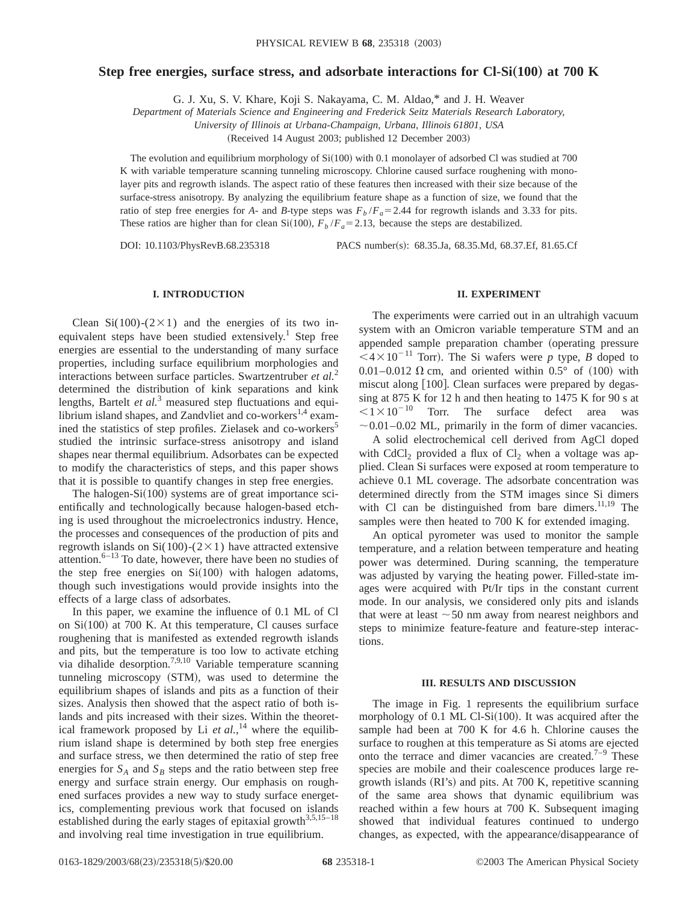# **Step free energies, surface stress, and adsorbate interactions for Cl-Si(100) at 700 K**

G. J. Xu, S. V. Khare, Koji S. Nakayama, C. M. Aldao,\* and J. H. Weaver

*Department of Materials Science and Engineering and Frederick Seitz Materials Research Laboratory,*

*University of Illinois at Urbana-Champaign, Urbana, Illinois 61801, USA*

(Received 14 August 2003; published 12 December 2003)

The evolution and equilibrium morphology of  $Si(100)$  with 0.1 monolayer of adsorbed Cl was studied at 700 K with variable temperature scanning tunneling microscopy. Chlorine caused surface roughening with monolayer pits and regrowth islands. The aspect ratio of these features then increased with their size because of the surface-stress anisotropy. By analyzing the equilibrium feature shape as a function of size, we found that the ratio of step free energies for *A*- and *B*-type steps was  $F_b/F_a = 2.44$  for regrowth islands and 3.33 for pits. These ratios are higher than for clean Si(100),  $F_b/F_a = 2.13$ , because the steps are destabilized.

DOI: 10.1103/PhysRevB.68.235318 PACS number(s): 68.35.Ja, 68.35.Md, 68.37.Ef, 81.65.Cf

## **I. INTRODUCTION**

Clean Si(100)-( $2\times1$ ) and the energies of its two inequivalent steps have been studied extensively.<sup>1</sup> Step free energies are essential to the understanding of many surface properties, including surface equilibrium morphologies and interactions between surface particles. Swartzentruber *et al.*<sup>2</sup> determined the distribution of kink separations and kink lengths, Bartelt *et al.*<sup>3</sup> measured step fluctuations and equilibrium island shapes, and Zandvliet and co-workers<sup>1,4</sup> examined the statistics of step profiles. Zielasek and co-workers<sup>5</sup> studied the intrinsic surface-stress anisotropy and island shapes near thermal equilibrium. Adsorbates can be expected to modify the characteristics of steps, and this paper shows that it is possible to quantify changes in step free energies.

The halogen- $Si(100)$  systems are of great importance scientifically and technologically because halogen-based etching is used throughout the microelectronics industry. Hence, the processes and consequences of the production of pits and regrowth islands on  $Si(100)-(2\times1)$  have attracted extensive attention. $6-13$  To date, however, there have been no studies of the step free energies on  $Si(100)$  with halogen adatoms, though such investigations would provide insights into the effects of a large class of adsorbates.

In this paper, we examine the influence of 0.1 ML of Cl on  $Si(100)$  at 700 K. At this temperature, Cl causes surface roughening that is manifested as extended regrowth islands and pits, but the temperature is too low to activate etching via dihalide desorption.7,9,10 Variable temperature scanning tunneling microscopy (STM), was used to determine the equilibrium shapes of islands and pits as a function of their sizes. Analysis then showed that the aspect ratio of both islands and pits increased with their sizes. Within the theoretical framework proposed by Li et al.,<sup>14</sup> where the equilibrium island shape is determined by both step free energies and surface stress, we then determined the ratio of step free energies for  $S_A$  and  $S_B$  steps and the ratio between step free energy and surface strain energy. Our emphasis on roughened surfaces provides a new way to study surface energetics, complementing previous work that focused on islands established during the early stages of epitaxial growth $3,5,15-18$ and involving real time investigation in true equilibrium.

#### **II. EXPERIMENT**

The experiments were carried out in an ultrahigh vacuum system with an Omicron variable temperature STM and an appended sample preparation chamber (operating pressure  $\leq 4 \times 10^{-11}$  Torr). The Si wafers were *p* type, *B* doped to 0.01–0.012  $\Omega$  cm, and oriented within 0.5° of (100) with miscut along  $[100]$ . Clean surfaces were prepared by degassing at 875 K for 12 h and then heating to 1475 K for 90 s at  $\leq 1 \times 10^{-10}$  Torr. The surface defect area was  $\sim$  0.01–0.02 ML, primarily in the form of dimer vacancies.

A solid electrochemical cell derived from AgCl doped with CdCl<sub>2</sub> provided a flux of Cl<sub>2</sub> when a voltage was applied. Clean Si surfaces were exposed at room temperature to achieve 0.1 ML coverage. The adsorbate concentration was determined directly from the STM images since Si dimers with Cl can be distinguished from bare dimers. $11,19$  The samples were then heated to 700 K for extended imaging.

An optical pyrometer was used to monitor the sample temperature, and a relation between temperature and heating power was determined. During scanning, the temperature was adjusted by varying the heating power. Filled-state images were acquired with Pt/Ir tips in the constant current mode. In our analysis, we considered only pits and islands that were at least  $\sim$  50 nm away from nearest neighbors and steps to minimize feature-feature and feature-step interactions.

#### **III. RESULTS AND DISCUSSION**

The image in Fig. 1 represents the equilibrium surface morphology of  $0.1$  ML Cl-Si $(100)$ . It was acquired after the sample had been at 700 K for 4.6 h. Chlorine causes the surface to roughen at this temperature as Si atoms are ejected onto the terrace and dimer vacancies are created.<sup>7–9</sup> These species are mobile and their coalescence produces large regrowth islands  $(RI's)$  and pits. At 700 K, repetitive scanning of the same area shows that dynamic equilibrium was reached within a few hours at 700 K. Subsequent imaging showed that individual features continued to undergo changes, as expected, with the appearance/disappearance of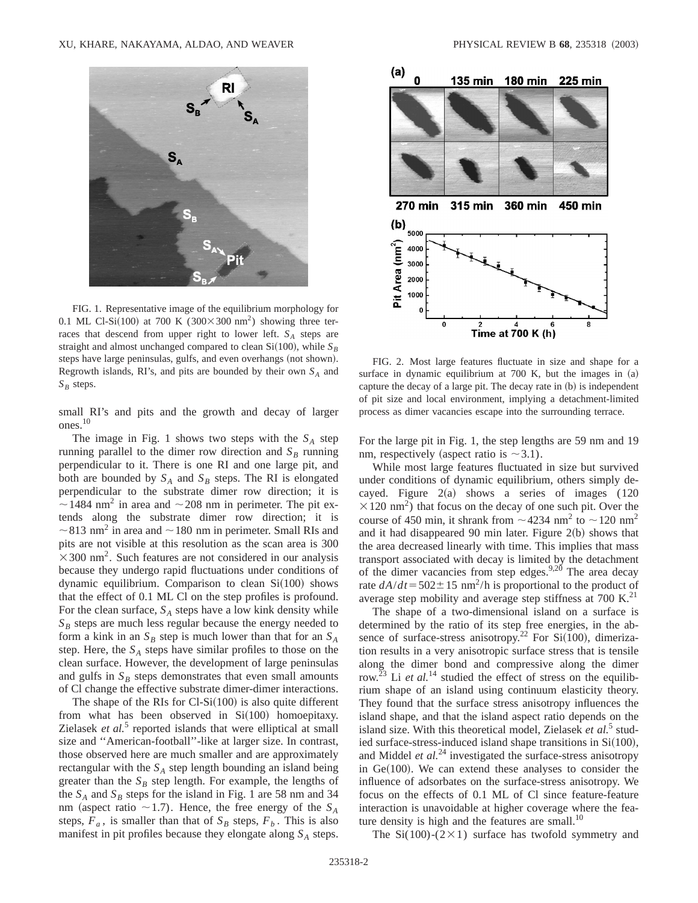

FIG. 1. Representative image of the equilibrium morphology for 0.1 ML Cl-Si(100) at 700 K (300 $\times$ 300 nm<sup>2</sup>) showing three terraces that descend from upper right to lower left.  $S_A$  steps are straight and almost unchanged compared to clean  $Si(100)$ , while  $S_B$ steps have large peninsulas, gulfs, and even overhangs (not shown). Regrowth islands, RI's, and pits are bounded by their own  $S_A$  and  $S_B$  steps.

small RI's and pits and the growth and decay of larger ones.10

The image in Fig. 1 shows two steps with the  $S_A$  step running parallel to the dimer row direction and  $S_B$  running perpendicular to it. There is one RI and one large pit, and both are bounded by  $S_A$  and  $S_B$  steps. The RI is elongated perpendicular to the substrate dimer row direction; it is  $\sim$  1484 nm<sup>2</sup> in area and  $\sim$  208 nm in perimeter. The pit extends along the substrate dimer row direction; it is  $\sim$  813 nm<sup>2</sup> in area and  $\sim$  180 nm in perimeter. Small RIs and pits are not visible at this resolution as the scan area is 300  $\times$ 300 nm<sup>2</sup>. Such features are not considered in our analysis because they undergo rapid fluctuations under conditions of dynamic equilibrium. Comparison to clean  $Si(100)$  shows that the effect of 0.1 ML Cl on the step profiles is profound. For the clean surface,  $S_A$  steps have a low kink density while  $S_B$  steps are much less regular because the energy needed to form a kink in an  $S_B$  step is much lower than that for an  $S_A$ step. Here, the  $S_A$  steps have similar profiles to those on the clean surface. However, the development of large peninsulas and gulfs in  $S_B$  steps demonstrates that even small amounts of Cl change the effective substrate dimer-dimer interactions.

The shape of the RIs for  $Cl-Si(100)$  is also quite different from what has been observed in  $Si(100)$  homoepitaxy. Zielasek *et al.*<sup>5</sup> reported islands that were elliptical at small size and ''American-football''-like at larger size. In contrast, those observed here are much smaller and are approximately rectangular with the  $S_A$  step length bounding an island being greater than the  $S_B$  step length. For example, the lengths of the  $S_A$  and  $S_B$  steps for the island in Fig. 1 are 58 nm and 34 nm (aspect ratio  $\sim$  1.7). Hence, the free energy of the  $S_A$ steps,  $F_a$ , is smaller than that of  $S_B$  steps,  $F_b$ . This is also manifest in pit profiles because they elongate along  $S_A$  steps.



FIG. 2. Most large features fluctuate in size and shape for a surface in dynamic equilibrium at  $700$  K, but the images in  $(a)$ capture the decay of a large pit. The decay rate in (b) is independent of pit size and local environment, implying a detachment-limited process as dimer vacancies escape into the surrounding terrace.

For the large pit in Fig. 1, the step lengths are 59 nm and 19 nm, respectively (aspect ratio is  $\sim$  3.1).

While most large features fluctuated in size but survived under conditions of dynamic equilibrium, others simply decayed. Figure  $2(a)$  shows a series of images (120)  $\times$ 120 nm<sup>2</sup>) that focus on the decay of one such pit. Over the course of 450 min, it shrank from  $\sim$  4234 nm<sup>2</sup> to  $\sim$  120 nm<sup>2</sup> and it had disappeared 90 min later. Figure  $2(b)$  shows that the area decreased linearly with time. This implies that mass transport associated with decay is limited by the detachment of the dimer vacancies from step edges. $9,20$  The area decay rate  $dA/dt = 502 \pm 15$  nm<sup>2</sup>/h is proportional to the product of average step mobility and average step stiffness at 700 K.<sup>21</sup>

The shape of a two-dimensional island on a surface is determined by the ratio of its step free energies, in the absence of surface-stress anisotropy.<sup>22</sup> For Si $(100)$ , dimerization results in a very anisotropic surface stress that is tensile along the dimer bond and compressive along the dimer row.<sup>23</sup> Li *et al.*<sup>14</sup> studied the effect of stress on the equilibrium shape of an island using continuum elasticity theory. They found that the surface stress anisotropy influences the island shape, and that the island aspect ratio depends on the island size. With this theoretical model, Zielasek *et al.*<sup>5</sup> studied surface-stress-induced island shape transitions in  $Si(100)$ , and Middel *et al.*<sup>24</sup> investigated the surface-stress anisotropy in  $Ge(100)$ . We can extend these analyses to consider the influence of adsorbates on the surface-stress anisotropy. We focus on the effects of 0.1 ML of Cl since feature-feature interaction is unavoidable at higher coverage where the feature density is high and the features are small. $^{10}$ 

The Si(100)-( $2\times1$ ) surface has twofold symmetry and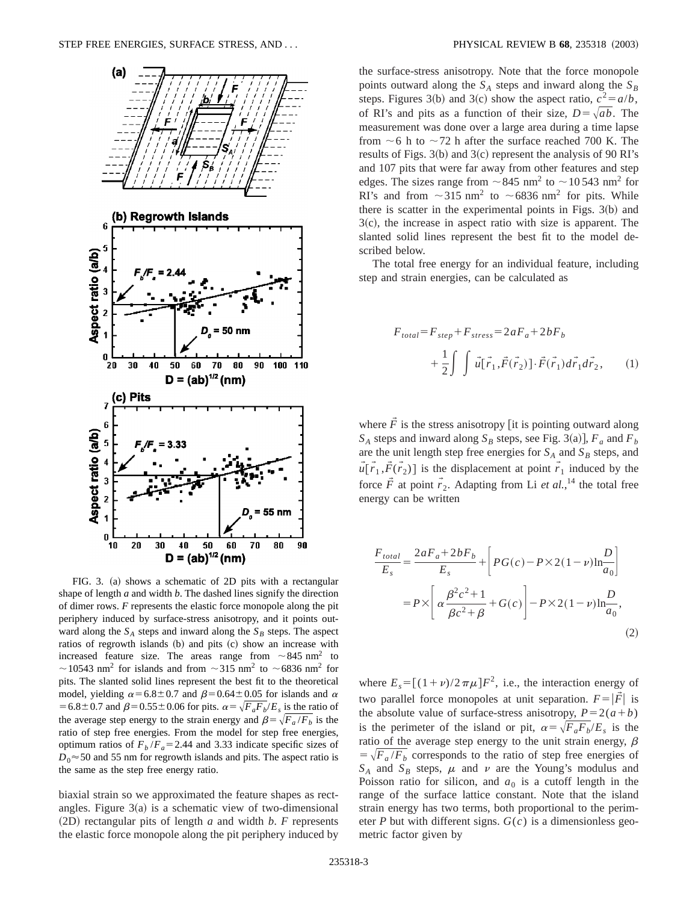

FIG. 3. (a) shows a schematic of 2D pits with a rectangular shape of length *a* and width *b*. The dashed lines signify the direction of dimer rows. *F* represents the elastic force monopole along the pit periphery induced by surface-stress anisotropy, and it points outward along the  $S_A$  steps and inward along the  $S_B$  steps. The aspect ratios of regrowth islands (b) and pits (c) show an increase with increased feature size. The areas range from  $\sim 845 \text{ nm}^2$  to  $\sim$ 10543 nm<sup>2</sup> for islands and from  $\sim$ 315 nm<sup>2</sup> to  $\sim$ 6836 nm<sup>2</sup> for pits. The slanted solid lines represent the best fit to the theoretical model, yielding  $\alpha$ =6.8±0.7 and  $\beta$ =0.64±0.05 for islands and  $\alpha$ = 6.8 ± 0.7 and  $\beta$ = 0.55 ± 0.06 for pits.  $\alpha = \sqrt{F_a F_b}/E_s$  is the ratio of the average step energy to the strain energy and  $\beta = \sqrt{F_a/F_b}$  is the ratio of step free energies. From the model for step free energies, optimum ratios of  $F_b / F_a = 2.44$  and 3.33 indicate specific sizes of  $D_0 \approx 50$  and 55 nm for regrowth islands and pits. The aspect ratio is the same as the step free energy ratio.

biaxial strain so we approximated the feature shapes as rectangles. Figure  $3(a)$  is a schematic view of two-dimensional  $(2D)$  rectangular pits of length *a* and width *b*. *F* represents the elastic force monopole along the pit periphery induced by the surface-stress anisotropy. Note that the force monopole points outward along the  $S_A$  steps and inward along the  $S_B$ steps. Figures 3(b) and 3(c) show the aspect ratio,  $c^2 = a/b$ , of RI's and pits as a function of their size,  $D = \sqrt{ab}$ . The measurement was done over a large area during a time lapse from  $\sim$  6 h to  $\sim$  72 h after the surface reached 700 K. The results of Figs.  $3(b)$  and  $3(c)$  represent the analysis of 90 RI's and 107 pits that were far away from other features and step edges. The sizes range from  $\sim$ 845 nm<sup>2</sup> to  $\sim$  10 543 nm<sup>2</sup> for RI's and from  $\sim$ 315 nm<sup>2</sup> to  $\sim$ 6836 nm<sup>2</sup> for pits. While there is scatter in the experimental points in Figs.  $3(b)$  and  $3(c)$ , the increase in aspect ratio with size is apparent. The slanted solid lines represent the best fit to the model described below.

The total free energy for an individual feature, including step and strain energies, can be calculated as

$$
F_{total} = F_{step} + F_{stress} = 2aF_a + 2bF_b
$$
  
+  $\frac{1}{2} \int \int \vec{u}[\vec{r}_1, \vec{F}(\vec{r}_2)] \cdot \vec{F}(\vec{r}_1) d\vec{r}_1 d\vec{r}_2,$  (1)

where  $\tilde{F}$  is the stress anisotropy [it is pointing outward along  $S_A$  steps and inward along  $S_B$  steps, see Fig. 3(a)],  $F_a$  and  $F_b$ are the unit length step free energies for  $S_A$  and  $S_B$  steps, and  $\vec{u}[\vec{r}_1, \vec{F}(\vec{r}_2)]$  is the displacement at point  $\vec{r}_1$  induced by the force  $\vec{F}$  at point  $\vec{r}_2$ . Adapting from Li *et al.*,<sup>14</sup> the total free energy can be written

$$
\frac{F_{total}}{E_s} = \frac{2aF_a + 2bF_b}{E_s} + \left[ PG(c) - P \times 2(1 - \nu) \ln \frac{D}{a_0} \right]
$$

$$
= P \times \left[ \alpha \frac{\beta^2 c^2 + 1}{\beta c^2 + \beta} + G(c) \right] - P \times 2(1 - \nu) \ln \frac{D}{a_0},
$$
(2)

where  $E_s = [(1 + v)/2 \pi \mu] F^2$ , i.e., the interaction energy of two parallel force monopoles at unit separation.  $F=|\vec{F}|$  is the absolute value of surface-stress anisotropy,  $P=2(a+b)$ is the perimeter of the island or pit,  $\alpha = \sqrt{F_a F_b}/E_s$  is the ratio of the average step energy to the unit strain energy,  $\beta$  $=\sqrt{F_a/F_b}$  corresponds to the ratio of step free energies of  $S_A$  and  $S_B$  steps,  $\mu$  and  $\nu$  are the Young's modulus and Poisson ratio for silicon, and  $a_0$  is a cutoff length in the range of the surface lattice constant. Note that the island strain energy has two terms, both proportional to the perimeter *P* but with different signs.  $G(c)$  is a dimensionless geometric factor given by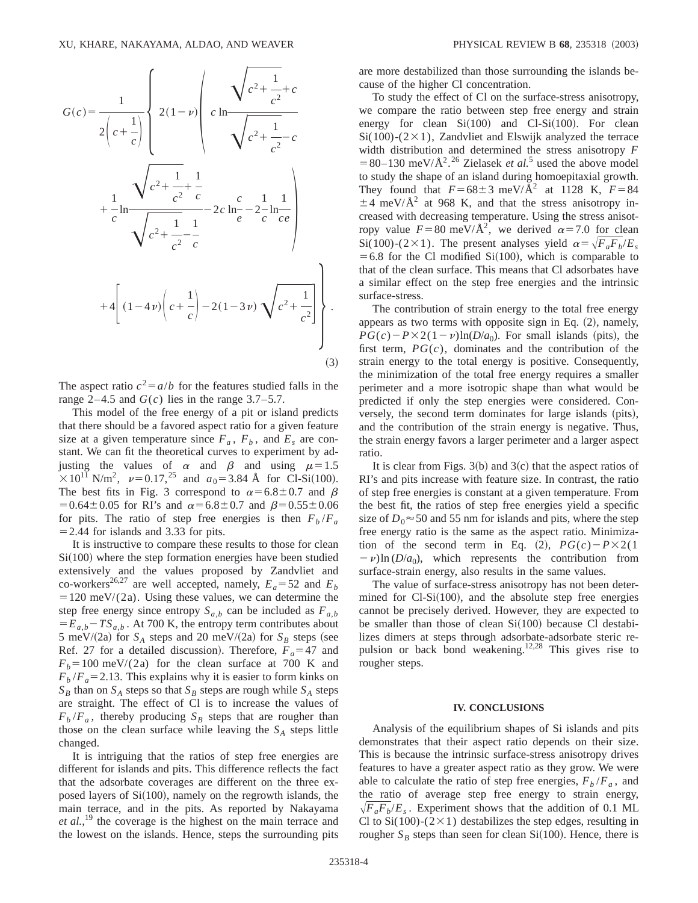

The aspect ratio  $c^2 = a/b$  for the features studied falls in the range  $2-4.5$  and  $G(c)$  lies in the range 3.7–5.7.

This model of the free energy of a pit or island predicts that there should be a favored aspect ratio for a given feature size at a given temperature since  $F_a$ ,  $F_b$ , and  $E_s$  are constant. We can fit the theoretical curves to experiment by adjusting the values of  $\alpha$  and  $\beta$  and using  $\mu=1.5$  $\frac{3}{2} \times 10^{11}$  N/m<sup>2</sup>,  $\nu = 0.17$ ,<sup>25</sup> and  $a_0 = 3.84$  Å for Cl-Si(100). The best fits in Fig. 3 correspond to  $\alpha=6.8\pm0.7$  and  $\beta$  $=0.64\pm0.05$  for RI's and  $\alpha=6.8\pm0.7$  and  $\beta=0.55\pm0.06$ for pits. The ratio of step free energies is then  $F_b/F_a$  $=$  2.44 for islands and 3.33 for pits.

It is instructive to compare these results to those for clean  $Si(100)$  where the step formation energies have been studied extensively and the values proposed by Zandvliet and co-workers<sup>26,27</sup> are well accepted, namely,  $E_a = 52$  and  $E_b$  $=120$  meV/(2a). Using these values, we can determine the step free energy since entropy  $S_{a,b}$  can be included as  $F_{a,b}$  $E_{a,b} - TS_{a,b}$ . At 700 K, the entropy term contributes about 5 meV/(2a) for  $S_A$  steps and 20 meV/(2a) for  $S_B$  steps (see Ref. 27 for a detailed discussion). Therefore,  $F_a$ =47 and  $F_b$ =100 meV/(2a) for the clean surface at 700 K and  $F_b$  /*F<sub>a</sub>* = 2.13. This explains why it is easier to form kinks on  $S_B$  than on  $S_A$  steps so that  $S_B$  steps are rough while  $S_A$  steps are straight. The effect of Cl is to increase the values of  $F_b / F_a$ , thereby producing  $S_B$  steps that are rougher than those on the clean surface while leaving the  $S_A$  steps little changed.

It is intriguing that the ratios of step free energies are different for islands and pits. This difference reflects the fact that the adsorbate coverages are different on the three exposed layers of  $Si(100)$ , namely on the regrowth islands, the main terrace, and in the pits. As reported by Nakayama *et al.*, <sup>19</sup> the coverage is the highest on the main terrace and the lowest on the islands. Hence, steps the surrounding pits are more destabilized than those surrounding the islands because of the higher Cl concentration.

To study the effect of Cl on the surface-stress anisotropy, we compare the ratio between step free energy and strain energy for clean  $Si(100)$  and  $Cl-Si(100)$ . For clean Si(100)-( $2\times1$ ), Zandvliet and Elswijk analyzed the terrace width distribution and determined the stress anisotropy *F*  $= 80-130$  meV/ $\AA$ <sup>2.26</sup> Zielasek *et al.*<sup>5</sup> used the above model to study the shape of an island during homoepitaxial growth. They found that  $F=68\pm3$  meV/ $\AA$ <sup>2</sup> at 1128 K,  $F=84$  $\pm$  4 meV/Å<sup>2</sup> at 968 K, and that the stress anisotropy increased with decreasing temperature. Using the stress anisotropy value  $F=80$  meV/ $\AA^2$ , we derived  $\alpha=7.0$  for clean Si(100)-(2×1). The present analyses yield  $\alpha = \sqrt{F_a F_b}/E_s$  $=6.8$  for the Cl modified Si $(100)$ , which is comparable to that of the clean surface. This means that Cl adsorbates have a similar effect on the step free energies and the intrinsic surface-stress.

The contribution of strain energy to the total free energy appears as two terms with opposite sign in Eq.  $(2)$ , namely,  $PG(c) - P \times 2(1-\nu)\ln(D/a_0)$ . For small islands (pits), the first term,  $PG(c)$ , dominates and the contribution of the strain energy to the total energy is positive. Consequently, the minimization of the total free energy requires a smaller perimeter and a more isotropic shape than what would be predicted if only the step energies were considered. Conversely, the second term dominates for large islands (pits), and the contribution of the strain energy is negative. Thus, the strain energy favors a larger perimeter and a larger aspect ratio.

It is clear from Figs.  $3(b)$  and  $3(c)$  that the aspect ratios of RI's and pits increase with feature size. In contrast, the ratio of step free energies is constant at a given temperature. From the best fit, the ratios of step free energies yield a specific size of  $D_0 \approx 50$  and 55 nm for islands and pits, where the step free energy ratio is the same as the aspect ratio. Minimization of the second term in Eq. (2),  $PG(c) - P \times 2(1)$  $-\nu$ )ln (*D*/*a*<sub>0</sub>), which represents the contribution from surface-strain energy, also results in the same values.

The value of surface-stress anisotropy has not been determined for  $CI-Si(100)$ , and the absolute step free energies cannot be precisely derived. However, they are expected to be smaller than those of clean  $Si(100)$  because Cl destabilizes dimers at steps through adsorbate-adsorbate steric repulsion or back bond weakening.<sup>12,28</sup> This gives rise to rougher steps.

## **IV. CONCLUSIONS**

Analysis of the equilibrium shapes of Si islands and pits demonstrates that their aspect ratio depends on their size. This is because the intrinsic surface-stress anisotropy drives features to have a greater aspect ratio as they grow. We were able to calculate the ratio of step free energies,  $F_b / F_a$ , and the ratio of average step free energy to strain energy,  $\sqrt{F_aF_b/E_s}$ . Experiment shows that the addition of 0.1 ML Cl to Si(100)-( $2\times1$ ) destabilizes the step edges, resulting in rougher  $S_B$  steps than seen for clean Si $(100)$ . Hence, there is